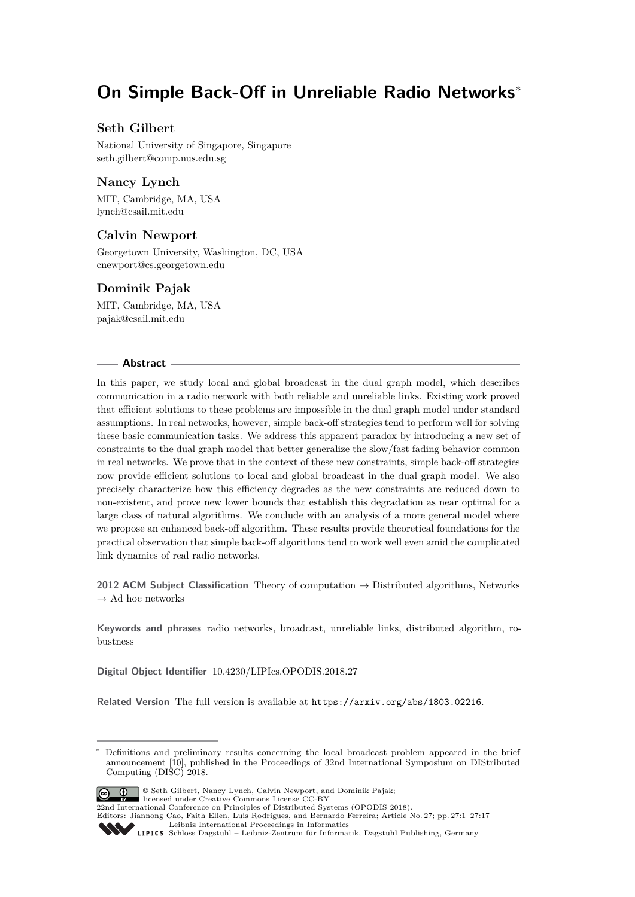# **On Simple Back-Off in Unreliable Radio Networks**<sup>∗</sup>

# **Seth Gilbert**

National University of Singapore, Singapore [seth.gilbert@comp.nus.edu.sg](mailto:seth.gilbert@comp.nus.edu.sg)

# **Nancy Lynch**

MIT, Cambridge, MA, USA [lynch@csail.mit.edu](mailto:lynch@csail.mit.edu)

# **Calvin Newport**

Georgetown University, Washington, DC, USA [cnewport@cs.georgetown.edu](mailto:cnewport@cs.georgetown.edu)

# **Dominik Pajak**

MIT, Cambridge, MA, USA [pajak@csail.mit.edu](mailto:pajak@csail.mit.edu)

#### **Abstract**

In this paper, we study local and global broadcast in the dual graph model, which describes communication in a radio network with both reliable and unreliable links. Existing work proved that efficient solutions to these problems are impossible in the dual graph model under standard assumptions. In real networks, however, simple back-off strategies tend to perform well for solving these basic communication tasks. We address this apparent paradox by introducing a new set of constraints to the dual graph model that better generalize the slow/fast fading behavior common in real networks. We prove that in the context of these new constraints, simple back-off strategies now provide efficient solutions to local and global broadcast in the dual graph model. We also precisely characterize how this efficiency degrades as the new constraints are reduced down to non-existent, and prove new lower bounds that establish this degradation as near optimal for a large class of natural algorithms. We conclude with an analysis of a more general model where we propose an enhanced back-off algorithm. These results provide theoretical foundations for the practical observation that simple back-off algorithms tend to work well even amid the complicated link dynamics of real radio networks.

**2012 ACM Subject Classification** Theory of computation → Distributed algorithms, Networks  $\rightarrow$  Ad hoc networks

**Keywords and phrases** radio networks, broadcast, unreliable links, distributed algorithm, robustness

**Digital Object Identifier** [10.4230/LIPIcs.OPODIS.2018.27](https://doi.org/10.4230/LIPIcs.OPODIS.2018.27)

**Related Version** The full version is available at <https://arxiv.org/abs/1803.02216>.

Definitions and preliminary results concerning the local broadcast problem appeared in the brief announcement [\[10\]](#page-15-0), published in the Proceedings of 32nd International Symposium on DIStributed Computing (DISC) 2018.



© Seth Gilbert, Nancy Lynch, Calvin Newport, and Dominik Pajak; licensed under Creative Commons License CC-BY

22nd International Conference on Principles of Distributed Systems (OPODIS 2018).

[Leibniz International Proceedings in Informatics](http://www.dagstuhl.de/lipics/) [Schloss Dagstuhl – Leibniz-Zentrum für Informatik, Dagstuhl Publishing, Germany](http://www.dagstuhl.de)

Editors: Jiannong Cao, Faith Ellen, Luis Rodrigues, and Bernardo Ferreira; Article No. 27; pp. 27:1–27[:17](#page-16-0)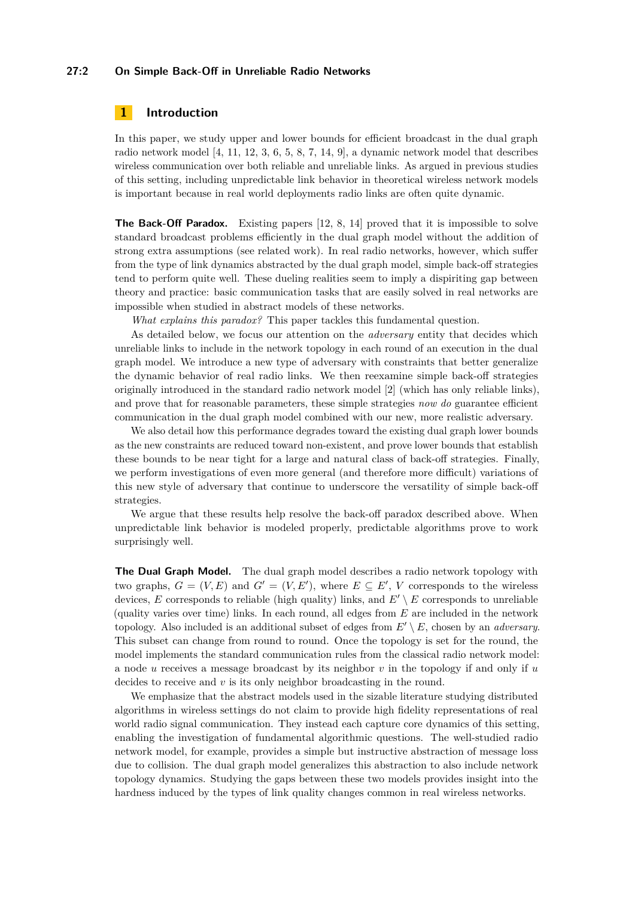### **27:2 On Simple Back-Off in Unreliable Radio Networks**

# **1 Introduction**

In this paper, we study upper and lower bounds for efficient broadcast in the dual graph radio network model  $[4, 11, 12, 3, 6, 5, 8, 7, 14, 9]$  $[4, 11, 12, 3, 6, 5, 8, 7, 14, 9]$  $[4, 11, 12, 3, 6, 5, 8, 7, 14, 9]$  $[4, 11, 12, 3, 6, 5, 8, 7, 14, 9]$  $[4, 11, 12, 3, 6, 5, 8, 7, 14, 9]$  $[4, 11, 12, 3, 6, 5, 8, 7, 14, 9]$  $[4, 11, 12, 3, 6, 5, 8, 7, 14, 9]$  $[4, 11, 12, 3, 6, 5, 8, 7, 14, 9]$  $[4, 11, 12, 3, 6, 5, 8, 7, 14, 9]$  $[4, 11, 12, 3, 6, 5, 8, 7, 14, 9]$  $[4, 11, 12, 3, 6, 5, 8, 7, 14, 9]$  $[4, 11, 12, 3, 6, 5, 8, 7, 14, 9]$  $[4, 11, 12, 3, 6, 5, 8, 7, 14, 9]$  $[4, 11, 12, 3, 6, 5, 8, 7, 14, 9]$  $[4, 11, 12, 3, 6, 5, 8, 7, 14, 9]$  $[4, 11, 12, 3, 6, 5, 8, 7, 14, 9]$  $[4, 11, 12, 3, 6, 5, 8, 7, 14, 9]$  $[4, 11, 12, 3, 6, 5, 8, 7, 14, 9]$  $[4, 11, 12, 3, 6, 5, 8, 7, 14, 9]$ , a dynamic network model that describes wireless communication over both reliable and unreliable links. As argued in previous studies of this setting, including unpredictable link behavior in theoretical wireless network models is important because in real world deployments radio links are often quite dynamic.

**The Back-Off Paradox.** Existing papers [\[12,](#page-15-3) [8,](#page-15-7) [14\]](#page-16-1) proved that it is impossible to solve standard broadcast problems efficiently in the dual graph model without the addition of strong extra assumptions (see related work). In real radio networks, however, which suffer from the type of link dynamics abstracted by the dual graph model, simple back-off strategies tend to perform quite well. These dueling realities seem to imply a dispiriting gap between theory and practice: basic communication tasks that are easily solved in real networks are impossible when studied in abstract models of these networks.

*What explains this paradox?* This paper tackles this fundamental question.

As detailed below, we focus our attention on the *adversary* entity that decides which unreliable links to include in the network topology in each round of an execution in the dual graph model. We introduce a new type of adversary with constraints that better generalize the dynamic behavior of real radio links. We then reexamine simple back-off strategies originally introduced in the standard radio network model [\[2\]](#page-15-10) (which has only reliable links), and prove that for reasonable parameters, these simple strategies *now do* guarantee efficient communication in the dual graph model combined with our new, more realistic adversary.

We also detail how this performance degrades toward the existing dual graph lower bounds as the new constraints are reduced toward non-existent, and prove lower bounds that establish these bounds to be near tight for a large and natural class of back-off strategies. Finally, we perform investigations of even more general (and therefore more difficult) variations of this new style of adversary that continue to underscore the versatility of simple back-off strategies.

We argue that these results help resolve the back-off paradox described above. When unpredictable link behavior is modeled properly, predictable algorithms prove to work surprisingly well.

**The Dual Graph Model.** The dual graph model describes a radio network topology with two graphs,  $G = (V, E)$  and  $G' = (V, E')$ , where  $E \subseteq E'$ , V corresponds to the wireless devices, *E* corresponds to reliable (high quality) links, and  $E' \setminus E$  corresponds to unreliable (quality varies over time) links. In each round, all edges from *E* are included in the network topology. Also included is an additional subset of edges from  $E' \setminus E$ , chosen by an *adversary*. This subset can change from round to round. Once the topology is set for the round, the model implements the standard communication rules from the classical radio network model: a node *u* receives a message broadcast by its neighbor *v* in the topology if and only if *u* decides to receive and *v* is its only neighbor broadcasting in the round.

We emphasize that the abstract models used in the sizable literature studying distributed algorithms in wireless settings do not claim to provide high fidelity representations of real world radio signal communication. They instead each capture core dynamics of this setting, enabling the investigation of fundamental algorithmic questions. The well-studied radio network model, for example, provides a simple but instructive abstraction of message loss due to collision. The dual graph model generalizes this abstraction to also include network topology dynamics. Studying the gaps between these two models provides insight into the hardness induced by the types of link quality changes common in real wireless networks.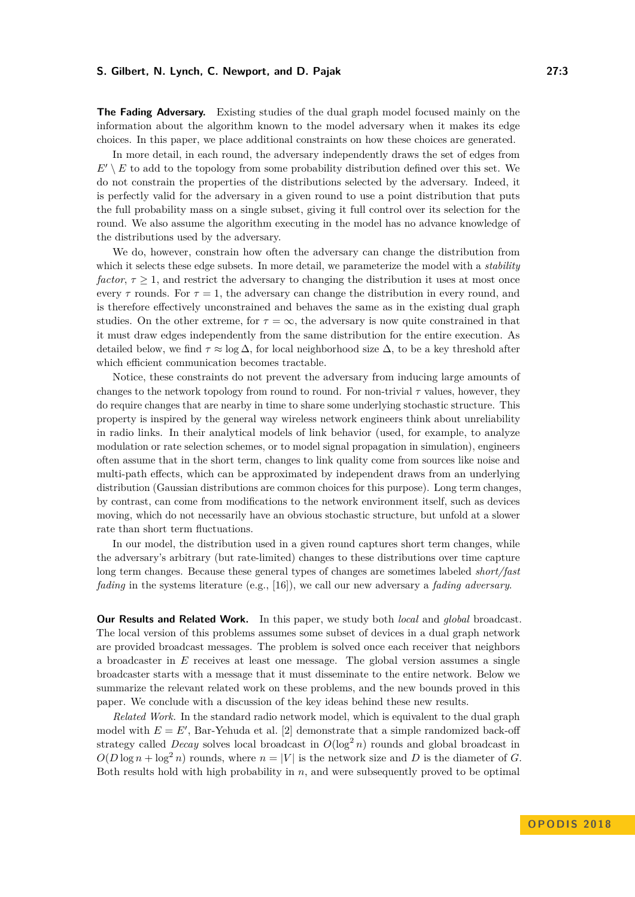**The Fading Adversary.** Existing studies of the dual graph model focused mainly on the information about the algorithm known to the model adversary when it makes its edge choices. In this paper, we place additional constraints on how these choices are generated.

In more detail, in each round, the adversary independently draws the set of edges from  $E' \setminus E$  to add to the topology from some probability distribution defined over this set. We do not constrain the properties of the distributions selected by the adversary. Indeed, it is perfectly valid for the adversary in a given round to use a point distribution that puts the full probability mass on a single subset, giving it full control over its selection for the round. We also assume the algorithm executing in the model has no advance knowledge of the distributions used by the adversary.

We do, however, constrain how often the adversary can change the distribution from which it selects these edge subsets. In more detail, we parameterize the model with a *stability factor*,  $\tau \geq 1$ , and restrict the adversary to changing the distribution it uses at most once every  $\tau$  rounds. For  $\tau = 1$ , the adversary can change the distribution in every round, and is therefore effectively unconstrained and behaves the same as in the existing dual graph studies. On the other extreme, for  $\tau = \infty$ , the adversary is now quite constrained in that it must draw edges independently from the same distribution for the entire execution. As detailed below, we find  $\tau \approx \log \Delta$ , for local neighborhood size  $\Delta$ , to be a key threshold after which efficient communication becomes tractable.

Notice, these constraints do not prevent the adversary from inducing large amounts of changes to the network topology from round to round. For non-trivial  $\tau$  values, however, they do require changes that are nearby in time to share some underlying stochastic structure. This property is inspired by the general way wireless network engineers think about unreliability in radio links. In their analytical models of link behavior (used, for example, to analyze modulation or rate selection schemes, or to model signal propagation in simulation), engineers often assume that in the short term, changes to link quality come from sources like noise and multi-path effects, which can be approximated by independent draws from an underlying distribution (Gaussian distributions are common choices for this purpose). Long term changes, by contrast, can come from modifications to the network environment itself, such as devices moving, which do not necessarily have an obvious stochastic structure, but unfold at a slower rate than short term fluctuations.

In our model, the distribution used in a given round captures short term changes, while the adversary's arbitrary (but rate-limited) changes to these distributions over time capture long term changes. Because these general types of changes are sometimes labeled *short/fast fading* in the systems literature (e.g., [\[16\]](#page-16-2)), we call our new adversary a *fading adversary*.

**Our Results and Related Work.** In this paper, we study both *local* and *global* broadcast. The local version of this problems assumes some subset of devices in a dual graph network are provided broadcast messages. The problem is solved once each receiver that neighbors a broadcaster in *E* receives at least one message. The global version assumes a single broadcaster starts with a message that it must disseminate to the entire network. Below we summarize the relevant related work on these problems, and the new bounds proved in this paper. We conclude with a discussion of the key ideas behind these new results.

*Related Work.* In the standard radio network model, which is equivalent to the dual graph model with  $E = E'$ , Bar-Yehuda et al. [\[2\]](#page-15-10) demonstrate that a simple randomized back-off strategy called *Decay* solves local broadcast in  $O(\log^2 n)$  rounds and global broadcast in  $O(D \log n + \log^2 n)$  rounds, where  $n = |V|$  is the network size and *D* is the diameter of *G*. Both results hold with high probability in *n*, and were subsequently proved to be optimal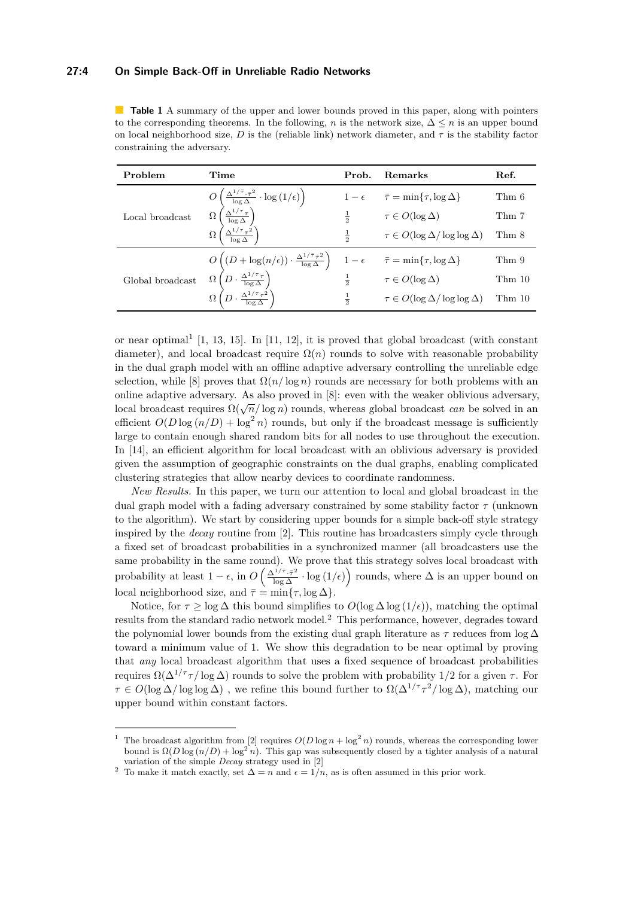#### **27:4 On Simple Back-Off in Unreliable Radio Networks**

<span id="page-3-2"></span>

| <b>Table 1</b> A summary of the upper and lower bounds proved in this paper, along with pointers          |
|-----------------------------------------------------------------------------------------------------------|
| to the corresponding theorems. In the following, n is the network size, $\Delta \leq n$ is an upper bound |
| on local neighborhood size, D is the (reliable link) network diameter, and $\tau$ is the stability factor |
| constraining the adversary.                                                                               |

| Problem                                                                                                                                                                                                                                                                                                                 | Time                                                                                                                                                                                                                                                                                                                                                                                                                                                                      | Prob.         | <b>Remarks</b>                                            | Ref.   |
|-------------------------------------------------------------------------------------------------------------------------------------------------------------------------------------------------------------------------------------------------------------------------------------------------------------------------|---------------------------------------------------------------------------------------------------------------------------------------------------------------------------------------------------------------------------------------------------------------------------------------------------------------------------------------------------------------------------------------------------------------------------------------------------------------------------|---------------|-----------------------------------------------------------|--------|
| d<br>$\frac{d}{\sqrt{\left(\frac{\Delta^{1/\bar{\tau}} \cdot \bar{\tau}^2}{\log \Delta} \cdot \log\left(1/\epsilon\right)\right)}}$<br>$\frac{\Omega\left(\frac{\Delta^{1/\bar{\tau}} \cdot \bar{\tau}^2}{\log \Delta}\right)}{\Omega\left(\frac{\Delta^{1/\bar{\tau}} \tau^2}{\log \Delta}\right)}$<br>Local broadcast |                                                                                                                                                                                                                                                                                                                                                                                                                                                                           |               | $1-\epsilon \quad \bar{\tau} = \min\{\tau, \log \Delta\}$ | Thm 6  |
|                                                                                                                                                                                                                                                                                                                         |                                                                                                                                                                                                                                                                                                                                                                                                                                                                           | $\frac{1}{2}$ | $\tau \in O(\log \Delta)$                                 | Thm 7  |
|                                                                                                                                                                                                                                                                                                                         |                                                                                                                                                                                                                                                                                                                                                                                                                                                                           | $\frac{1}{2}$ | $\tau \in O(\log \Delta / \log \log \Delta)$              | Thm 8  |
| Global broadcast                                                                                                                                                                                                                                                                                                        |                                                                                                                                                                                                                                                                                                                                                                                                                                                                           |               |                                                           | Thm 9  |
|                                                                                                                                                                                                                                                                                                                         | $\begin{array}{ll} \displaystyle {\cal O}\left((D+\log(n/\epsilon))\cdot\frac{\Delta^{1/\bar{\tau}}\bar{\tau}^2}{\log\Delta}\right) & 1-\epsilon\qquad \bar{\tau}=\min\{\tau,\log\Delta\}\\ \displaystyle {\Omega}\left(D\cdot\frac{\Delta^{1/\tau}\tau}{\log\Delta}\right) & \frac{1}{2} & \tau\in O(\log\Delta)\\ \displaystyle {\Omega}\left(D\cdot\frac{\Delta^{1/\tau}\tau^2}{\log\Delta}\right) & \frac{1}{2} & \tau\in O(\log\Delta/\log\log\alpha)\\ \end{array}$ |               |                                                           | Thm 10 |
|                                                                                                                                                                                                                                                                                                                         |                                                                                                                                                                                                                                                                                                                                                                                                                                                                           |               | $\tau \in O(\log \Delta / \log \log \Delta)$              | Thm 10 |

or near optimal<sup>[1](#page-3-0)</sup> [\[1,](#page-15-11) [13,](#page-16-3) [15\]](#page-16-4). In [\[11,](#page-15-2) [12\]](#page-15-3), it is proved that global broadcast (with constant diameter), and local broadcast require  $\Omega(n)$  rounds to solve with reasonable probability in the dual graph model with an offline adaptive adversary controlling the unreliable edge selection, while [\[8\]](#page-15-7) proves that  $\Omega(n/\log n)$  rounds are necessary for both problems with an online adaptive adversary. As also proved in [\[8\]](#page-15-7): even with the weaker oblivious adversary, branch diaptive adversary. As also proved in [0]. Even while the weaker bonvious adversary local broadcast requires  $\Omega(\sqrt{n}/\log n)$  rounds, whereas global broadcast *can* be solved in an efficient  $O(D \log (n/D) + \log^2 n)$  rounds, but only if the broadcast message is sufficiently large to contain enough shared random bits for all nodes to use throughout the execution. In [\[14\]](#page-16-1), an efficient algorithm for local broadcast with an oblivious adversary is provided given the assumption of geographic constraints on the dual graphs, enabling complicated clustering strategies that allow nearby devices to coordinate randomness.

*New Results.* In this paper, we turn our attention to local and global broadcast in the dual graph model with a fading adversary constrained by some stability factor *τ* (unknown to the algorithm). We start by considering upper bounds for a simple back-off style strategy inspired by the *decay* routine from [\[2\]](#page-15-10). This routine has broadcasters simply cycle through a fixed set of broadcast probabilities in a synchronized manner (all broadcasters use the same probability in the same round). We prove that this strategy solves local broadcast with probability at least  $1 - \epsilon$ , in  $O\left(\frac{\Delta^{1/\bar{\tau}} \cdot \bar{\tau}^2}{\log \Delta} \cdot \log(1/\epsilon)\right)$  rounds, where  $\Delta$  is an upper bound on local neighborhood size, and  $\bar{\tau} = \min{\tau, \log \Delta}$ .

Notice, for  $\tau > \log \Delta$  this bound simplifies to  $O(\log \Delta \log (1/\epsilon))$ , matching the optimal results from the standard radio network model.[2](#page-3-1) This performance, however, degrades toward the polynomial lower bounds from the existing dual graph literature as *τ* reduces from log ∆ toward a minimum value of 1. We show this degradation to be near optimal by proving that *any* local broadcast algorithm that uses a fixed sequence of broadcast probabilities requires  $\Omega(\Delta^{1/\tau} \tau / \log \Delta)$  rounds to solve the problem with probability 1/2 for a given *τ*. For  $\tau \in O(\log \Delta/\log \log \Delta)$ , we refine this bound further to  $\Omega(\Delta^{1/\tau} \tau^2/\log \Delta)$ , matching our upper bound within constant factors.

<span id="page-3-0"></span>The broadcast algorithm from [\[2\]](#page-15-10) requires  $O(D \log n + \log^2 n)$  rounds, whereas the corresponding lower bound is  $\Omega(D\log(n/D) + \log^2 n)$ . This gap was subsequently closed by a tighter analysis of a natural variation of the simple *Decay* strategy used in [\[2\]](#page-15-10)

<span id="page-3-1"></span><sup>&</sup>lt;sup>2</sup> To make it match exactly, set  $\Delta = n$  and  $\epsilon = 1/n$ , as is often assumed in this prior work.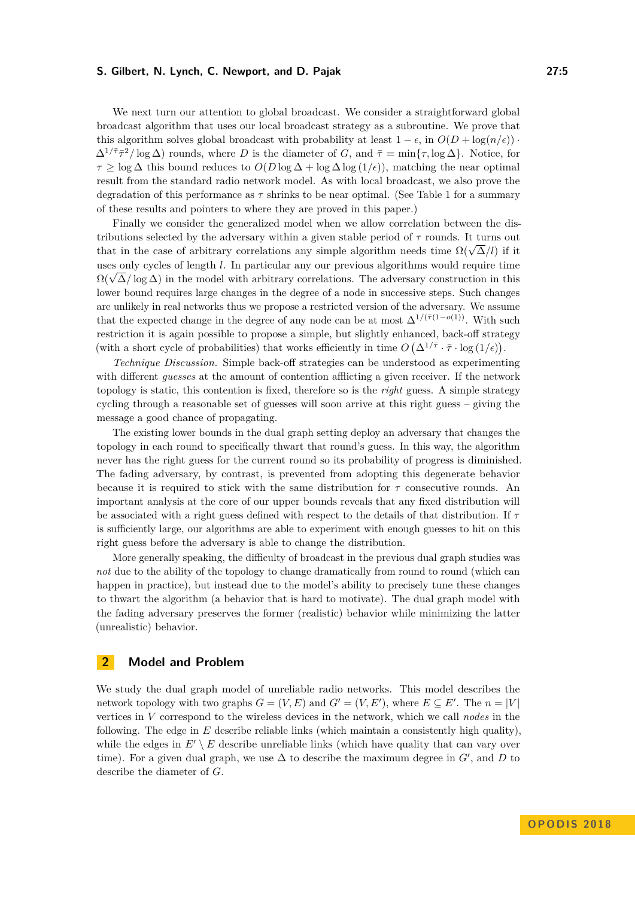We next turn our attention to global broadcast. We consider a straightforward global broadcast algorithm that uses our local broadcast strategy as a subroutine. We prove that this algorithm solves global broadcast with probability at least  $1 - \epsilon$ , in  $O(D + \log(n/\epsilon))$  $\Delta^{1/\bar{\tau}}\bar{\tau}^2/\log \Delta$ ) rounds, where *D* is the diameter of *G*, and  $\bar{\tau} = \min\{\tau, \log \Delta\}$ . Notice, for  $\tau \geq \log \Delta$  this bound reduces to  $O(D \log \Delta + \log \Delta \log (1/\epsilon))$ , matching the near optimal result from the standard radio network model. As with local broadcast, we also prove the degradation of this performance as  $\tau$  shrinks to be near optimal. (See Table [1](#page-3-2) for a summary of these results and pointers to where they are proved in this paper.)

Finally we consider the generalized model when we allow correlation between the distributions selected by the adversary within a given stable period of *τ* rounds. It turns out that in the case of arbitrary correlations any simple algorithm needs time  $\Omega(\sqrt{\Delta}/l)$  if it it uses only cycles of length *l*. In particular any our previous algorithms would require time  $\Omega(\sqrt{\Delta}/\log{\Delta})$  in the model with arbitrary correlations. The adversary construction in this lower bound requires large changes in the degree of a node in successive steps. Such changes are unlikely in real networks thus we propose a restricted version of the adversary. We assume that the expected change in the degree of any node can be at most  $\Delta^{1/(\bar{\tau}(1-o(1))})$ . With such restriction it is again possible to propose a simple, but slightly enhanced, back-off strategy (with a short cycle of probabilities) that works efficiently in time  $O(\Delta^{1/\bar{\tau}} \cdot \bar{\tau} \cdot \log(1/\epsilon)).$ 

*Technique Discussion.* Simple back-off strategies can be understood as experimenting with different *guesses* at the amount of contention afflicting a given receiver. If the network topology is static, this contention is fixed, therefore so is the *right* guess. A simple strategy cycling through a reasonable set of guesses will soon arrive at this right guess – giving the message a good chance of propagating.

The existing lower bounds in the dual graph setting deploy an adversary that changes the topology in each round to specifically thwart that round's guess. In this way, the algorithm never has the right guess for the current round so its probability of progress is diminished. The fading adversary, by contrast, is prevented from adopting this degenerate behavior because it is required to stick with the same distribution for *τ* consecutive rounds. An important analysis at the core of our upper bounds reveals that any fixed distribution will be associated with a right guess defined with respect to the details of that distribution. If *τ* is sufficiently large, our algorithms are able to experiment with enough guesses to hit on this right guess before the adversary is able to change the distribution.

More generally speaking, the difficulty of broadcast in the previous dual graph studies was *not* due to the ability of the topology to change dramatically from round to round (which can happen in practice), but instead due to the model's ability to precisely tune these changes to thwart the algorithm (a behavior that is hard to motivate). The dual graph model with the fading adversary preserves the former (realistic) behavior while minimizing the latter (unrealistic) behavior.

## **2 Model and Problem**

We study the dual graph model of unreliable radio networks. This model describes the network topology with two graphs  $G = (V, E)$  and  $G' = (V, E')$ , where  $E \subseteq E'$ . The  $n = |V|$ vertices in *V* correspond to the wireless devices in the network, which we call *nodes* in the following. The edge in *E* describe reliable links (which maintain a consistently high quality), while the edges in  $E' \setminus E$  describe unreliable links (which have quality that can vary over time). For a given dual graph, we use  $\Delta$  to describe the maximum degree in  $G'$ , and  $D$  to describe the diameter of *G*.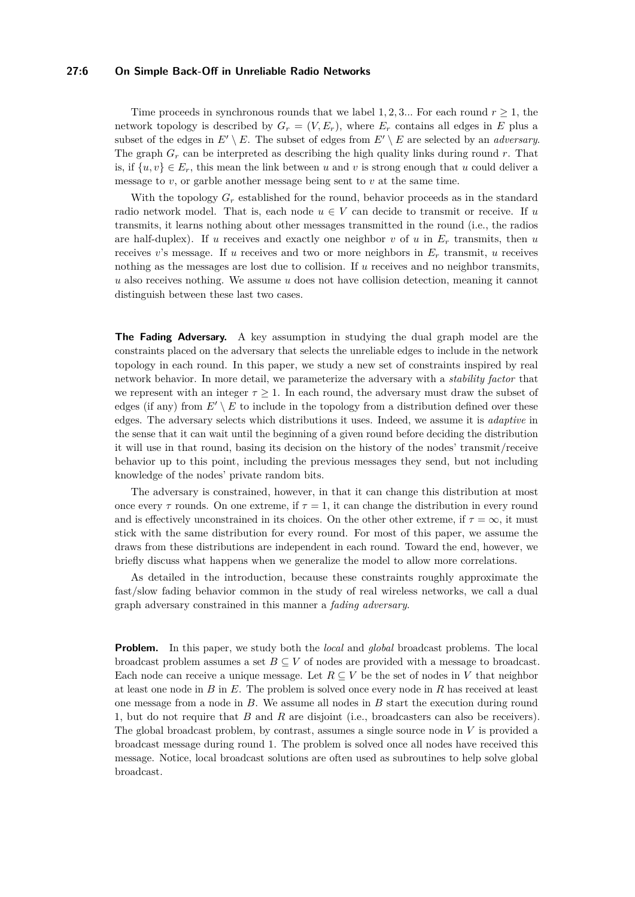#### **27:6 On Simple Back-Off in Unreliable Radio Networks**

Time proceeds in synchronous rounds that we label 1, 2, 3... For each round  $r \geq 1$ , the network topology is described by  $G_r = (V, E_r)$ , where  $E_r$  contains all edges in  $E$  plus a subset of the edges in  $E' \setminus E$ . The subset of edges from  $E' \setminus E$  are selected by an *adversary*. The graph *G<sup>r</sup>* can be interpreted as describing the high quality links during round *r*. That is, if  $\{u, v\} \in E_r$ , this mean the link between *u* and *v* is strong enough that *u* could deliver a message to *v*, or garble another message being sent to *v* at the same time.

With the topology  $G_r$  established for the round, behavior proceeds as in the standard radio network model. That is, each node  $u \in V$  can decide to transmit or receive. If *u* transmits, it learns nothing about other messages transmitted in the round (i.e., the radios are half-duplex). If *u* receives and exactly one neighbor *v* of *u* in *E<sup>r</sup>* transmits, then *u* receives *v*'s message. If *u* receives and two or more neighbors in *E<sup>r</sup>* transmit, *u* receives nothing as the messages are lost due to collision. If *u* receives and no neighbor transmits, *u* also receives nothing. We assume *u* does not have collision detection, meaning it cannot distinguish between these last two cases.

**The Fading Adversary.** A key assumption in studying the dual graph model are the constraints placed on the adversary that selects the unreliable edges to include in the network topology in each round. In this paper, we study a new set of constraints inspired by real network behavior. In more detail, we parameterize the adversary with a *stability factor* that we represent with an integer  $\tau \geq 1$ . In each round, the adversary must draw the subset of edges (if any) from  $E' \setminus E$  to include in the topology from a distribution defined over these edges. The adversary selects which distributions it uses. Indeed, we assume it is *adaptive* in the sense that it can wait until the beginning of a given round before deciding the distribution it will use in that round, basing its decision on the history of the nodes' transmit/receive behavior up to this point, including the previous messages they send, but not including knowledge of the nodes' private random bits.

The adversary is constrained, however, in that it can change this distribution at most once every  $\tau$  rounds. On one extreme, if  $\tau = 1$ , it can change the distribution in every round and is effectively unconstrained in its choices. On the other other extreme, if  $\tau = \infty$ , it must stick with the same distribution for every round. For most of this paper, we assume the draws from these distributions are independent in each round. Toward the end, however, we briefly discuss what happens when we generalize the model to allow more correlations.

As detailed in the introduction, because these constraints roughly approximate the fast/slow fading behavior common in the study of real wireless networks, we call a dual graph adversary constrained in this manner a *fading adversary*.

**Problem.** In this paper, we study both the *local* and *global* broadcast problems. The local broadcast problem assumes a set  $B \subseteq V$  of nodes are provided with a message to broadcast. Each node can receive a unique message. Let  $R \subseteq V$  be the set of nodes in V that neighbor at least one node in *B* in *E*. The problem is solved once every node in *R* has received at least one message from a node in *B*. We assume all nodes in *B* start the execution during round 1, but do not require that *B* and *R* are disjoint (i.e., broadcasters can also be receivers). The global broadcast problem, by contrast, assumes a single source node in *V* is provided a broadcast message during round 1. The problem is solved once all nodes have received this message. Notice, local broadcast solutions are often used as subroutines to help solve global broadcast.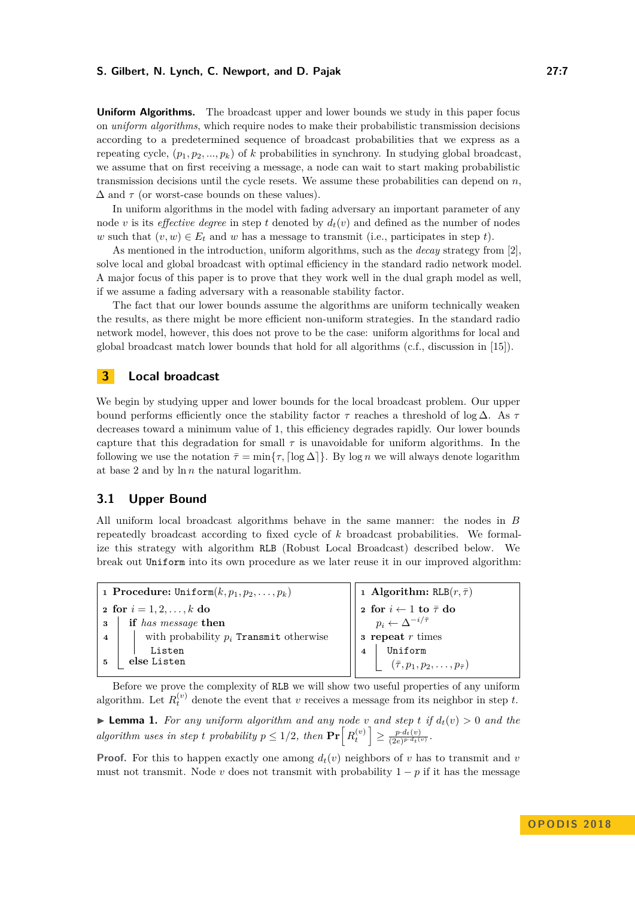**Uniform Algorithms.** The broadcast upper and lower bounds we study in this paper focus on *uniform algorithms*, which require nodes to make their probabilistic transmission decisions according to a predetermined sequence of broadcast probabilities that we express as a repeating cycle,  $(p_1, p_2, ..., p_k)$  of *k* probabilities in synchrony. In studying global broadcast, we assume that on first receiving a message, a node can wait to start making probabilistic transmission decisions until the cycle resets. We assume these probabilities can depend on  $n$ , ∆ and *τ* (or worst-case bounds on these values).

In uniform algorithms in the model with fading adversary an important parameter of any node *v* is its *effective degree* in step *t* denoted by  $d_t(v)$  and defined as the number of nodes *w* such that  $(v, w) \in E_t$  and *w* has a message to transmit (i.e., participates in step *t*).

As mentioned in the introduction, uniform algorithms, such as the *decay* strategy from [\[2\]](#page-15-10), solve local and global broadcast with optimal efficiency in the standard radio network model. A major focus of this paper is to prove that they work well in the dual graph model as well, if we assume a fading adversary with a reasonable stability factor.

The fact that our lower bounds assume the algorithms are uniform technically weaken the results, as there might be more efficient non-uniform strategies. In the standard radio network model, however, this does not prove to be the case: uniform algorithms for local and global broadcast match lower bounds that hold for all algorithms (c.f., discussion in [\[15\]](#page-16-4)).

# <span id="page-6-0"></span>**3 Local broadcast**

We begin by studying upper and lower bounds for the local broadcast problem. Our upper bound performs efficiently once the stability factor *τ* reaches a threshold of log ∆. As *τ* decreases toward a minimum value of 1, this efficiency degrades rapidly. Our lower bounds capture that this degradation for small  $\tau$  is unavoidable for uniform algorithms. In the following we use the notation  $\bar{\tau} = \min\{\tau, \lceil \log \Delta \rceil\}$ . By log *n* we will always denote logarithm at base 2 and by ln *n* the natural logarithm.

# **3.1 Upper Bound**

All uniform local broadcast algorithms behave in the same manner: the nodes in *B* repeatedly broadcast according to fixed cycle of *k* broadcast probabilities. We formalize this strategy with algorithm RLB (Robust Local Broadcast) described below. We break out Uniform into its own procedure as we later reuse it in our improved algorithm:

| 1 Procedure: Uniform $(k, p_1, p_2, \ldots, p_k)$ |                                                        |                | $\frac{1}{r}$ 1 Algorithm: RLB $(r, \bar{\tau})$                                                                                                                                                                                                                                                                                                                                                                                                                                                                              |  |  |
|---------------------------------------------------|--------------------------------------------------------|----------------|-------------------------------------------------------------------------------------------------------------------------------------------------------------------------------------------------------------------------------------------------------------------------------------------------------------------------------------------------------------------------------------------------------------------------------------------------------------------------------------------------------------------------------|--|--|
| 2 for $i = 1, 2, , k$ do                          |                                                        |                | $\begin{array}{c} \mathbf{p} \mid \mathbf{p} \mathbf{p} \mathbf{p} \mathbf{p} \leftarrow \mathbf{p} \mathbf{p} \leftarrow \mathbf{p} \mathbf{p} \mathbf{p} \leftarrow \mathbf{p} \leftarrow \mathbf{p} \mathbf{p} \leftarrow \mathbf{p} \leftarrow \mathbf{p} \leftarrow \mathbf{p} \leftarrow \mathbf{p} \leftarrow \mathbf{p} \leftarrow \mathbf{p} \leftarrow \mathbf{p} \leftarrow \mathbf{p} \leftarrow \mathbf{p} \leftarrow \mathbf{p} \leftarrow \mathbf{p} \leftarrow \mathbf{p} \leftarrow \mathbf{p} \leftarrow \$ |  |  |
|                                                   | <b>3</b> if has message then                           |                |                                                                                                                                                                                                                                                                                                                                                                                                                                                                                                                               |  |  |
|                                                   | 4     with probability $p_i$ <b>Transmit</b> otherwise |                | $\overline{\phantom{a}}$ <b>s</b> repeat <i>r</i> times                                                                                                                                                                                                                                                                                                                                                                                                                                                                       |  |  |
|                                                   | Listen                                                 | $\overline{4}$ | Uniform                                                                                                                                                                                                                                                                                                                                                                                                                                                                                                                       |  |  |
| else Listen                                       |                                                        |                | $(\bar{\tau}, p_1, p_2, \ldots, p_{\bar{\tau}})$                                                                                                                                                                                                                                                                                                                                                                                                                                                                              |  |  |
|                                                   |                                                        |                |                                                                                                                                                                                                                                                                                                                                                                                                                                                                                                                               |  |  |

Before we prove the complexity of RLB we will show two useful properties of any uniform algorithm. Let  $R_t^{(v)}$  denote the event that *v* receives a message from its neighbor in step *t*.

<span id="page-6-1"></span>**Example 1.** For any uniform algorithm and any node  $v$  and step  $t$  if  $d_t(v) > 0$  and the *algorithm uses in step t probability*  $p \leq 1/2$ , then  $\Pr\left[R_t^{(v)}\right] \geq \frac{p \cdot d_t(v)}{(2e)^{p \cdot d_t}}$  $\frac{p \cdot d_t(v)}{(2e)^{p \cdot d_t(v)}}$ 

**Proof.** For this to happen exactly one among  $d_t(v)$  neighbors of *v* has to transmit and *v* must not transmit. Node *v* does not transmit with probability  $1 - p$  if it has the message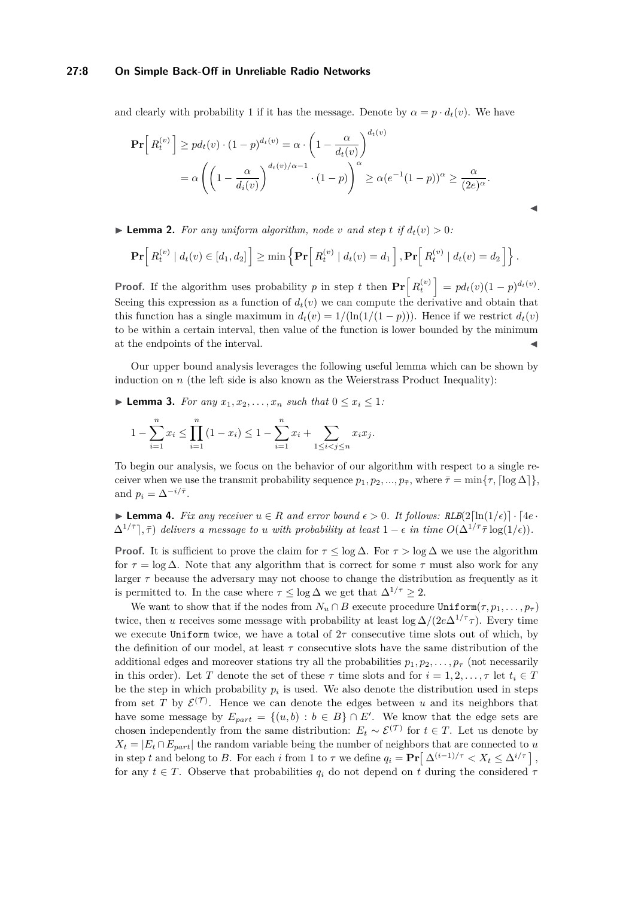#### **27:8 On Simple Back-Off in Unreliable Radio Networks**

and clearly with probability 1 if it has the message. Denote by  $\alpha = p \cdot d_t(v)$ . We have

$$
\mathbf{Pr}\Big[R_t^{(v)}\Big] \geq pd_t(v) \cdot (1-p)^{d_t(v)} = \alpha \cdot \left(1 - \frac{\alpha}{d_t(v)}\right)^{d_t(v)} \n= \alpha \left(\left(1 - \frac{\alpha}{d_t(v)}\right)^{d_t(v)/\alpha - 1} \cdot (1-p)\right)^{\alpha} \geq \alpha (e^{-1}(1-p))^{\alpha} \geq \frac{\alpha}{(2e)^{\alpha}}.
$$

 $\blacktriangleright$  **Lemma 2.** For any uniform algorithm, node *v* and step *t* if  $d_t(v) > 0$ :

$$
\mathbf{Pr}\Big[R_t^{(v)}\mid d_t(v) \in [d_1, d_2]\Big] \ge \min\left\{\mathbf{Pr}\Big[R_t^{(v)}\mid d_t(v) = d_1\Big], \mathbf{Pr}\Big[R_t^{(v)}\mid d_t(v) = d_2\Big]\right\}.
$$

 $\blacktriangleleft$ 

**Proof.** If the algorithm uses probability *p* in step *t* then  $\Pr\left[R_t^{(v)}\right] = pd_t(v)(1-p)^{d_t(v)}$ . Seeing this expression as a function of  $d_t(v)$  we can compute the derivative and obtain that this function has a single maximum in  $d_t(v) = 1/(\ln(1/(1-p)))$ . Hence if we restrict  $d_t(v)$ to be within a certain interval, then value of the function is lower bounded by the minimum at the endpoints of the interval.

Our upper bound analysis leverages the following useful lemma which can be shown by induction on  $n$  (the left side is also known as the Weierstrass Product Inequality):

<span id="page-7-0"></span>▶ **Lemma 3.** *For any*  $x_1, x_2, \ldots, x_n$  *such that*  $0 \le x_i \le 1$ *:* 

$$
1 - \sum_{i=1}^{n} x_i \le \prod_{i=1}^{n} (1 - x_i) \le 1 - \sum_{i=1}^{n} x_i + \sum_{1 \le i < j \le n} x_i x_j.
$$

To begin our analysis, we focus on the behavior of our algorithm with respect to a single receiver when we use the transmit probability sequence  $p_1, p_2, ..., p_{\bar{\tau}}$ , where  $\bar{\tau} = \min\{\tau, \lceil \log \Delta \rceil\}$ , and  $p_i = \Delta^{-i/\bar{\tau}}$ .

<span id="page-7-1"></span>**► Lemma 4.** Fix any receiver  $u \in R$  and error bound  $\epsilon > 0$ . It follows: RLB(2[ln(1/ $\epsilon$ )] · [4e ·  $\Delta^{1/\overline{\tau}}$ ,  $\bar{\tau}$ ) *delivers* a message to *u* with probability at least  $1 - \epsilon$  in time  $O(\Delta^{1/\overline{\tau}} \bar{\tau} \log(1/\epsilon))$ .

**Proof.** It is sufficient to prove the claim for  $\tau \leq \log \Delta$ . For  $\tau > \log \Delta$  we use the algorithm for  $\tau = \log \Delta$ . Note that any algorithm that is correct for some  $\tau$  must also work for any larger  $\tau$  because the adversary may not choose to change the distribution as frequently as it is permitted to. In the case where  $\tau \leq \log \Delta$  we get that  $\Delta^{1/\tau} \geq 2$ .

We want to show that if the nodes from  $N_u \cap B$  execute procedure Uniform $(\tau, p_1, \ldots, p_\tau)$ twice, then *u* receives some message with probability at least  $\log \Delta/(2e\Delta^{1/\tau}\tau)$ . Every time we execute Uniform twice, we have a total of  $2\tau$  consecutive time slots out of which, by the definition of our model, at least  $\tau$  consecutive slots have the same distribution of the additional edges and moreover stations try all the probabilities  $p_1, p_2, \ldots, p_\tau$  (not necessarily in this order). Let *T* denote the set of these  $\tau$  time slots and for  $i = 1, 2, \ldots, \tau$  let  $t_i \in T$ be the step in which probability  $p_i$  is used. We also denote the distribution used in steps from set *T* by  $\mathcal{E}^{(T)}$ . Hence we can denote the edges between *u* and its neighbors that have some message by  $E_{part} = \{(u, b) : b \in B\} \cap E'$ . We know that the edge sets are chosen independently from the same distribution:  $E_t \sim \mathcal{E}^{(\mathcal{T})}$  for  $t \in \mathcal{T}$ . Let us denote by  $X_t = |E_t \cap E_{part}|$  the random variable being the number of neighbors that are connected to *u* in step *t* and belong to *B*. For each *i* from 1 to  $\tau$  we define  $q_i = \Pr\left[\Delta^{(i-1)/\tau} < X_t \leq \Delta^{i/\tau}\right]$ , for any  $t \in T$ . Observe that probabilities  $q_i$  do not depend on  $t$  during the considered  $\tau$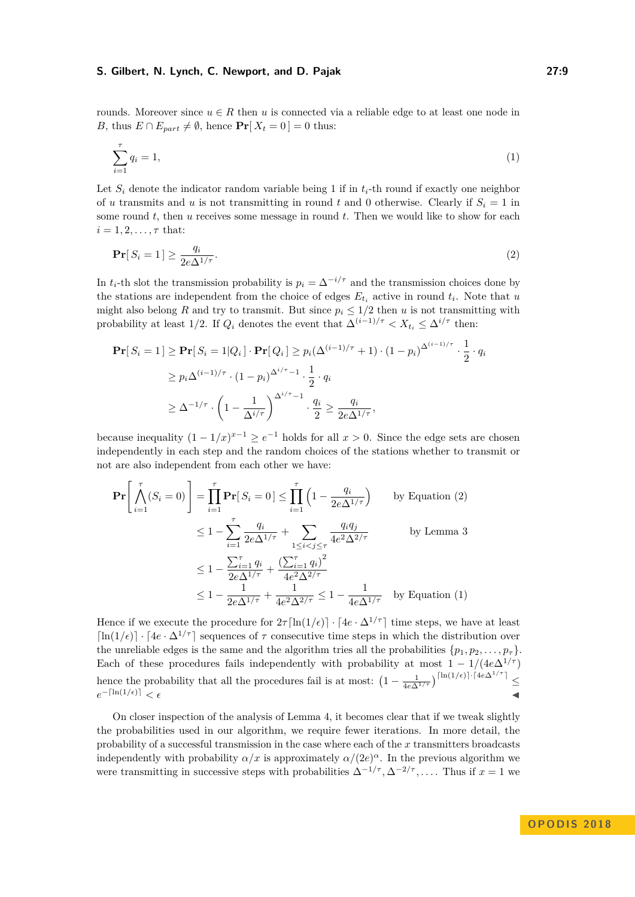rounds. Moreover since  $u \in R$  then *u* is connected via a reliable edge to at least one node in *B*, thus  $E \cap E_{part} \neq \emptyset$ , hence  $\Pr[X_t = 0] = 0$  thus:

<span id="page-8-1"></span>
$$
\sum_{i=1}^{\tau} q_i = 1,\tag{1}
$$

Let  $S_i$  denote the indicator random variable being 1 if in  $t_i$ -th round if exactly one neighbor of *u* transmits and *u* is not transmitting in round *t* and 0 otherwise. Clearly if  $S_i = 1$  in some round *t*, then *u* receives some message in round *t*. Then we would like to show for each  $i = 1, 2, \ldots, \tau$  that:

<span id="page-8-0"></span>
$$
\Pr[S_i = 1] \ge \frac{q_i}{2e\Delta^{1/\tau}}.\tag{2}
$$

In  $t_i$ -th slot the transmission probability is  $p_i = \Delta^{-i/\tau}$  and the transmission choices done by the stations are independent from the choice of edges  $E_{t_i}$  active in round  $t_i$ . Note that  $u$ might also belong *R* and try to transmit. But since  $p_i \leq 1/2$  then *u* is not transmitting with probability at least 1/2. If  $Q_i$  denotes the event that  $\Delta^{(i-1)/\tau} < X_{t_i} \leq \Delta^{i/\tau}$  then:

$$
\begin{split} \mathbf{Pr}[S_i = 1] &\geq \mathbf{Pr}[S_i = 1|Q_i] \cdot \mathbf{Pr}[Q_i] \geq p_i(\Delta^{(i-1)/\tau} + 1) \cdot (1 - p_i)^{\Delta^{(i-1)/\tau}} \cdot \frac{1}{2} \cdot q_i \\ &\geq p_i \Delta^{(i-1)/\tau} \cdot (1 - p_i)^{\Delta^{i/\tau} - 1} \cdot \frac{1}{2} \cdot q_i \\ &\geq \Delta^{-1/\tau} \cdot \left(1 - \frac{1}{\Delta^{i/\tau}}\right)^{\Delta^{i/\tau} - 1} \cdot \frac{q_i}{2} \geq \frac{q_i}{2e\Delta^{1/\tau}}, \end{split}
$$

because inequality  $(1 - 1/x)^{x-1} \ge e^{-1}$  holds for all  $x > 0$ . Since the edge sets are chosen independently in each step and the random choices of the stations whether to transmit or not are also independent from each other we have:

$$
\mathbf{Pr}\left[\bigwedge_{i=1}^{\tau} (S_i = 0)\right] = \prod_{i=1}^{\tau} \mathbf{Pr}[S_i = 0] \le \prod_{i=1}^{\tau} \left(1 - \frac{q_i}{2e\Delta^{1/\tau}}\right) \qquad \text{by Equation (2)}
$$
\n
$$
\le 1 - \sum_{i=1}^{\tau} \frac{q_i}{2e\Delta^{1/\tau}} + \sum_{1 \le i < j \le \tau} \frac{q_i q_j}{4e^2\Delta^{2/\tau}} \qquad \text{by Lemma 3}
$$
\n
$$
\le 1 - \frac{\sum_{i=1}^{\tau} q_i}{2e\Delta^{1/\tau}} + \frac{\left(\sum_{i=1}^{\tau} q_i\right)^2}{4e^2\Delta^{2/\tau}}
$$
\n
$$
\le 1 - \frac{1}{2e\Delta^{1/\tau}} + \frac{1}{4e^2\Delta^{2/\tau}} \le 1 - \frac{1}{4e\Delta^{1/\tau}} \qquad \text{by Equation (1)}
$$

Hence if we execute the procedure for  $2\tau \left[ \ln(1/\epsilon) \right] \cdot [4e \cdot \Delta^{1/\tau}]$  time steps, we have at least  $\ln(1/\epsilon)$  ·  $[4e \cdot \Delta^{1/\tau}]$  sequences of  $\tau$  consecutive time steps in which the distribution over the unreliable edges is the same and the algorithm tries all the probabilities  $\{p_1, p_2, \ldots, p_{\tau}\}\$ . Each of these procedures fails independently with probability at most  $1 - 1/(4e\Delta^{1/\tau})$ hence the probability that all the procedures fail is at most:  $\left(1 - \frac{1}{4e\Delta^{1/\tau}}\right)^{\lceil \ln(1/\epsilon) \rceil \cdot \lceil 4e\Delta^{1/\tau} \rceil} \le$  $e^{-\left\lceil \ln(1/\epsilon)\right\rceil} < \epsilon$  $-\left[\ln(1/\epsilon)\right] \leq \epsilon$ 

On closer inspection of the analysis of Lemma [4,](#page-7-1) it becomes clear that if we tweak slightly the probabilities used in our algorithm, we require fewer iterations. In more detail, the probability of a successful transmission in the case where each of the *x* transmitters broadcasts independently with probability  $\alpha/x$  is approximately  $\alpha/(2e)^{\alpha}$ . In the previous algorithm we were transmitting in successive steps with probabilities  $\Delta^{-1/\tau}, \Delta^{-2/\tau}, \ldots$ . Thus if  $x = 1$  we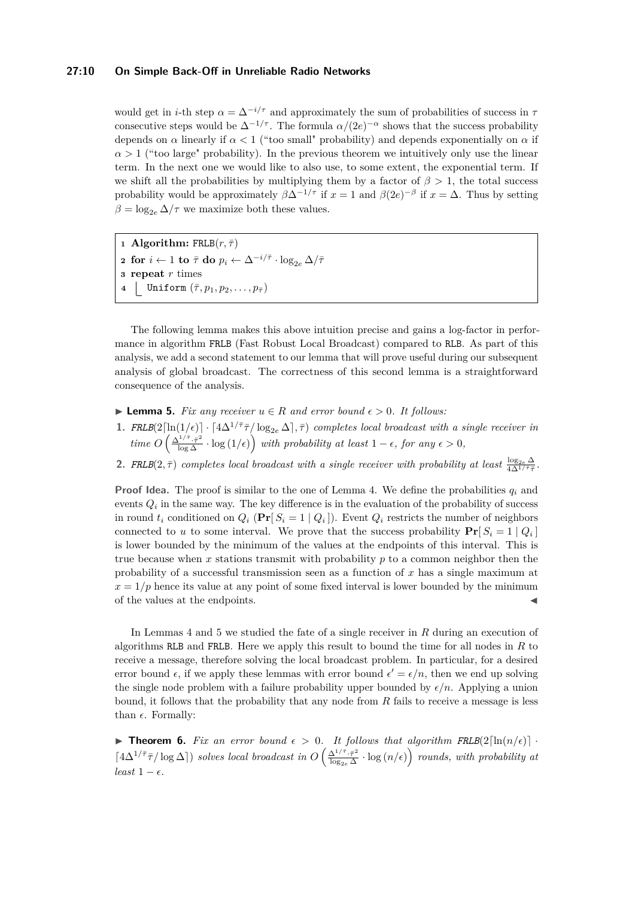#### **27:10 On Simple Back-Off in Unreliable Radio Networks**

would get in *i*-th step  $\alpha = \Delta^{-i/\tau}$  and approximately the sum of probabilities of success in  $\tau$ consecutive steps would be  $\Delta^{-1/\tau}$ . The formula  $\alpha/(2e)^{-\alpha}$  shows that the success probability depends on  $\alpha$  linearly if  $\alpha < 1$  ("too small" probability) and depends exponentially on  $\alpha$  if  $\alpha > 1$  ("too large" probability). In the previous theorem we intuitively only use the linear term. In the next one we would like to also use, to some extent, the exponential term. If we shift all the probabilities by multiplying them by a factor of  $\beta > 1$ , the total success probability would be approximately  $\beta \Delta^{-1/\tau}$  if  $x = 1$  and  $\beta(2e)^{-\beta}$  if  $x = \Delta$ . Thus by setting  $\beta = \log_{2e} \Delta/\tau$  we maximize both these values.

 **Algorithm:**  $\texttt{FRLB}(r, \bar{\tau})$  for  $i \leftarrow 1$  to  $\bar{\tau}$  do  $p_i \leftarrow \Delta^{-i/\bar{\tau}} \cdot \log_{2e} \Delta / \bar{\tau}$  **repeat** *r* times | Uniform  $(\bar{\tau}, p_1, p_2, \ldots, p_{\bar{\tau}})$ 

The following lemma makes this above intuition precise and gains a log-factor in performance in algorithm FRLB (Fast Robust Local Broadcast) compared to RLB. As part of this analysis, we add a second statement to our lemma that will prove useful during our subsequent analysis of global broadcast. The correctness of this second lemma is a straightforward consequence of the analysis.

- <span id="page-9-1"></span>**► Lemma 5.** *Fix any receiver*  $u \in R$  *and error bound*  $\epsilon > 0$ *. It follows:*
- **1.** *FRLB***(2**[ln(1/ $\epsilon$ )] ·  $\lceil 4\Delta^{1/\bar{\tau}} \bar{\tau}/\log_{2e} \Delta \rceil$ ,  $\bar{\tau}$ ) completes local broadcast with a single receiver in  $time\ O\left(\frac{\Delta^{1/\bar{\tau}}\cdot\bar{\tau}^2}{\log\Delta}\cdot\log(1/\epsilon)\right)$  with probability at least  $1-\epsilon$ , for any  $\epsilon > 0$ ,
- **2.** *FRLB***(2,**  $\bar{\tau}$ **)** *completes local broadcast with a single receiver with probability at least* $\frac{\log_{2e} \Delta}{4\Delta^{1/\bar{\tau}}\bar{\tau}}$ **.**

**Proof Idea.** The proof is similar to the one of Lemma [4.](#page-7-1) We define the probabilities *q<sup>i</sup>* and events  $Q_i$  in the same way. The key difference is in the evaluation of the probability of success in round  $t_i$  conditioned on  $Q_i$  ( $Pr[S_i = 1 | Q_i]$ ). Event  $Q_i$  restricts the number of neighbors connected to *u* to some interval. We prove that the success probability  $Pr[S_i = 1 | Q_i]$ is lower bounded by the minimum of the values at the endpoints of this interval. This is true because when *x* stations transmit with probability *p* to a common neighbor then the probability of a successful transmission seen as a function of *x* has a single maximum at  $x = 1/p$  hence its value at any point of some fixed interval is lower bounded by the minimum of the values at the endpoints.

In Lemmas [4](#page-7-1) and [5](#page-9-1) we studied the fate of a single receiver in *R* during an execution of algorithms RLB and FRLB. Here we apply this result to bound the time for all nodes in *R* to receive a message, therefore solving the local broadcast problem. In particular, for a desired error bound  $\epsilon$ , if we apply these lemmas with error bound  $\epsilon' = \epsilon/n$ , then we end up solving the single node problem with a failure probability upper bounded by  $\epsilon/n$ . Applying a union bound, it follows that the probability that any node from *R* fails to receive a message is less than  $\epsilon$ . Formally:

<span id="page-9-0"></span>**Theorem 6.** Fix an error bound  $\epsilon > 0$ . It follows that algorithm FRLB(2[ln(n/ $\epsilon$ )] ·  $\left[4\Delta^{1/\bar{\tau}}\bar{\tau}/\log \Delta\right]$ *) solves local broadcast in*  $O\left(\frac{\Delta^{1/\bar{\tau}}\cdot\bar{\tau}^2}{\log \Delta}\right)$  $\frac{\Delta^{1/\bar{\tau}}\cdot\bar{\tau}^2}{\log_{2e}\Delta}\cdot\log(n/\epsilon)$  rounds, with probability at  $least 1 - \epsilon.$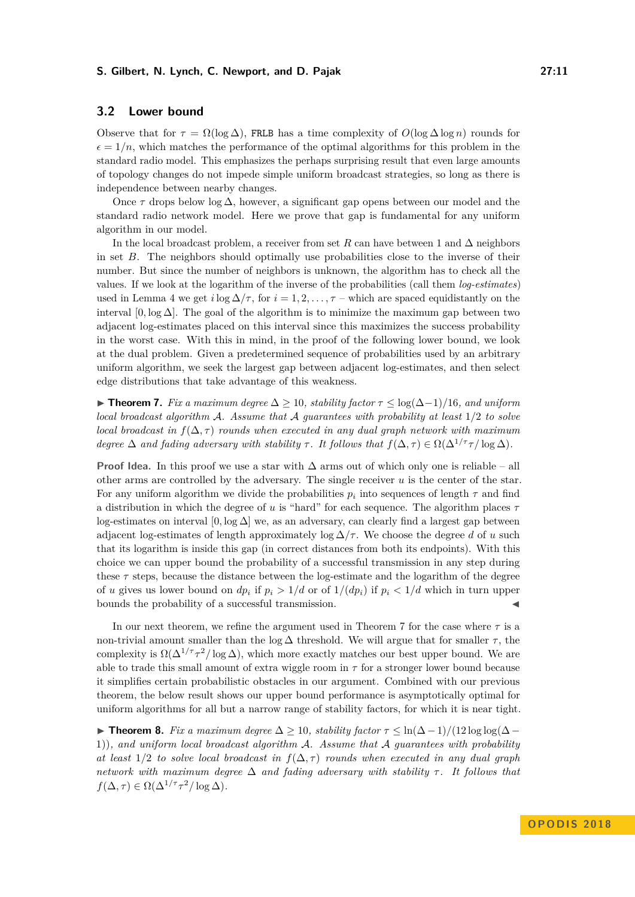# **3.2 Lower bound**

Observe that for  $\tau = \Omega(\log \Delta)$ , FRLB has a time complexity of  $O(\log \Delta \log n)$  rounds for  $\epsilon = 1/n$ , which matches the performance of the optimal algorithms for this problem in the standard radio model. This emphasizes the perhaps surprising result that even large amounts of topology changes do not impede simple uniform broadcast strategies, so long as there is independence between nearby changes.

Once  $\tau$  drops below log  $\Delta$ , however, a significant gap opens between our model and the standard radio network model. Here we prove that gap is fundamental for any uniform algorithm in our model.

In the local broadcast problem, a receiver from set  $R$  can have between 1 and  $\Delta$  neighbors in set *B*. The neighbors should optimally use probabilities close to the inverse of their number. But since the number of neighbors is unknown, the algorithm has to check all the values. If we look at the logarithm of the inverse of the probabilities (call them *log-estimates*) used in Lemma [4](#page-7-1) we get *i* log  $\Delta/\tau$ , for  $i = 1, 2, \ldots, \tau$  – which are spaced equidistantly on the interval  $[0, \log \Delta]$ . The goal of the algorithm is to minimize the maximum gap between two adjacent log-estimates placed on this interval since this maximizes the success probability in the worst case. With this in mind, in the proof of the following lower bound, we look at the dual problem. Given a predetermined sequence of probabilities used by an arbitrary uniform algorithm, we seek the largest gap between adjacent log-estimates, and then select edge distributions that take advantage of this weakness.

<span id="page-10-0"></span>**► Theorem 7.** Fix a maximum degree  $\Delta > 10$ , stability factor  $\tau < \log(\Delta-1)/16$ , and uniform *local broadcast algorithm* A*. Assume that* A *guarantees with probability at least* 1*/*2 *to solve local broadcast in*  $f(\Delta, \tau)$  *rounds when executed in any dual graph network with maximum degree*  $\Delta$  *and fading adversary with stability*  $\tau$ . It follows that  $f(\Delta, \tau) \in \Omega(\Delta^{1/\tau} \tau / \log \Delta)$ .

**Proof Idea.** In this proof we use a star with  $\Delta$  arms out of which only one is reliable – all other arms are controlled by the adversary. The single receiver *u* is the center of the star. For any uniform algorithm we divide the probabilities  $p_i$  into sequences of length  $\tau$  and find a distribution in which the degree of *u* is "hard" for each sequence. The algorithm places *τ* log-estimates on interval  $[0, \log \Delta]$  we, as an adversary, can clearly find a largest gap between adjacent log-estimates of length approximately  $\log \Delta / \tau$ . We choose the degree *d* of *u* such that its logarithm is inside this gap (in correct distances from both its endpoints). With this choice we can upper bound the probability of a successful transmission in any step during these *τ* steps, because the distance between the log-estimate and the logarithm of the degree of *u* gives us lower bound on  $dp_i$  if  $p_i > 1/d$  or of  $1/(dp_i)$  if  $p_i < 1/d$  which in turn upper bounds the probability of a successful transmission.

In our next theorem, we refine the argument used in Theorem [7](#page-10-0) for the case where *τ* is a non-trivial amount smaller than the log  $\Delta$  threshold. We will argue that for smaller  $\tau$ , the complexity is  $\Omega(\Delta^{1/\tau} \tau^2/\log \Delta)$ , which more exactly matches our best upper bound. We are able to trade this small amount of extra wiggle room in  $\tau$  for a stronger lower bound because it simplifies certain probabilistic obstacles in our argument. Combined with our previous theorem, the below result shows our upper bound performance is asymptotically optimal for uniform algorithms for all but a narrow range of stability factors, for which it is near tight.

<span id="page-10-1"></span>**Fix** a maximum degree  $\Delta \ge 10$ , stability factor  $\tau \le \ln(\Delta - 1)/(12 \log \log(\Delta -$ 1))*, and uniform local broadcast algorithm* A*. Assume that* A *guarantees with probability at least*  $1/2$  *to solve local broadcast in*  $f(\Delta, \tau)$  *rounds when executed in any dual graph network with maximum degree*  $\Delta$  *and fading adversary with stability*  $\tau$ . It follows that  $f(\Delta, \tau) \in \Omega(\Delta^{1/\tau} \tau^2 / \log \Delta).$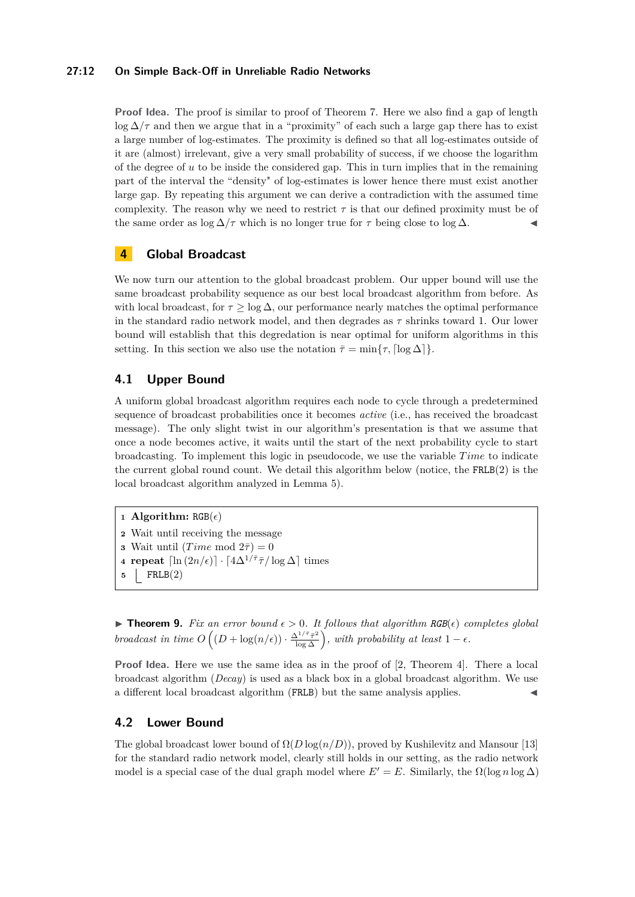# **27:12 On Simple Back-Off in Unreliable Radio Networks**

**Proof Idea.** The proof is similar to proof of Theorem [7.](#page-10-0) Here we also find a gap of length  $\log \Delta/\tau$  and then we argue that in a "proximity" of each such a large gap there has to exist a large number of log-estimates. The proximity is defined so that all log-estimates outside of it are (almost) irrelevant, give a very small probability of success, if we choose the logarithm of the degree of  $u$  to be inside the considered gap. This in turn implies that in the remaining part of the interval the "density" of log-estimates is lower hence there must exist another large gap. By repeating this argument we can derive a contradiction with the assumed time complexity. The reason why we need to restrict  $\tau$  is that our defined proximity must be of the same order as  $\log \Delta / \tau$  which is no longer true for  $\tau$  being close to  $\log \Delta$ .

# **4 Global Broadcast**

We now turn our attention to the global broadcast problem. Our upper bound will use the same broadcast probability sequence as our best local broadcast algorithm from before. As with local broadcast, for  $\tau \geq \log \Delta$ , our performance nearly matches the optimal performance in the standard radio network model, and then degrades as  $\tau$  shrinks toward 1. Our lower bound will establish that this degredation is near optimal for uniform algorithms in this setting. In this section we also use the notation  $\bar{\tau} = \min\{\tau, \lceil \log \Delta \rceil\}.$ 

# **4.1 Upper Bound**

A uniform global broadcast algorithm requires each node to cycle through a predetermined sequence of broadcast probabilities once it becomes *active* (i.e., has received the broadcast message). The only slight twist in our algorithm's presentation is that we assume that once a node becomes active, it waits until the start of the next probability cycle to start broadcasting. To implement this logic in pseudocode, we use the variable *Time* to indicate the current global round count. We detail this algorithm below (notice, the  $FRLB(2)$  is the local broadcast algorithm analyzed in Lemma [5\)](#page-9-1).

```
1 Algorithm: RGB(\epsilon)
```

```
2 Wait until receiving the message
```

```
3 Wait until (Time \text{ mod } 2\overline{\tau}) = 0
```

```
4 repeat \left[\ln\left(2n/\epsilon\right)\right] \cdot \left[4\Delta^{1/\bar{\tau}}\bar{\tau}/\log \Delta\right] times
```

```
5 FRLB(2)
```
<span id="page-11-0"></span> $\triangleright$  **Theorem 9.** Fix an error bound  $\epsilon > 0$ . It follows that algorithm RGB( $\epsilon$ ) completes global *broadcast in time*  $O((D + \log(n/\epsilon)) \cdot \frac{\Delta^{1/\bar{\tau}} \bar{\tau}^2}{\log \Delta})$ , with probability at least  $1 - \epsilon$ .

**Proof Idea.** Here we use the same idea as in the proof of [\[2,](#page-15-10) Theorem 4]. There a local broadcast algorithm (*Decay*) is used as a black box in a global broadcast algorithm. We use a different local broadcast algorithm (FRLB) but the same analysis applies.

# **4.2 Lower Bound**

The global broadcast lower bound of  $\Omega(D \log(n/D))$ , proved by Kushilevitz and Mansour [\[13\]](#page-16-3) for the standard radio network model, clearly still holds in our setting, as the radio network model is a special case of the dual graph model where  $E' = E$ . Similarly, the  $\Omega(\log n \log \Delta)$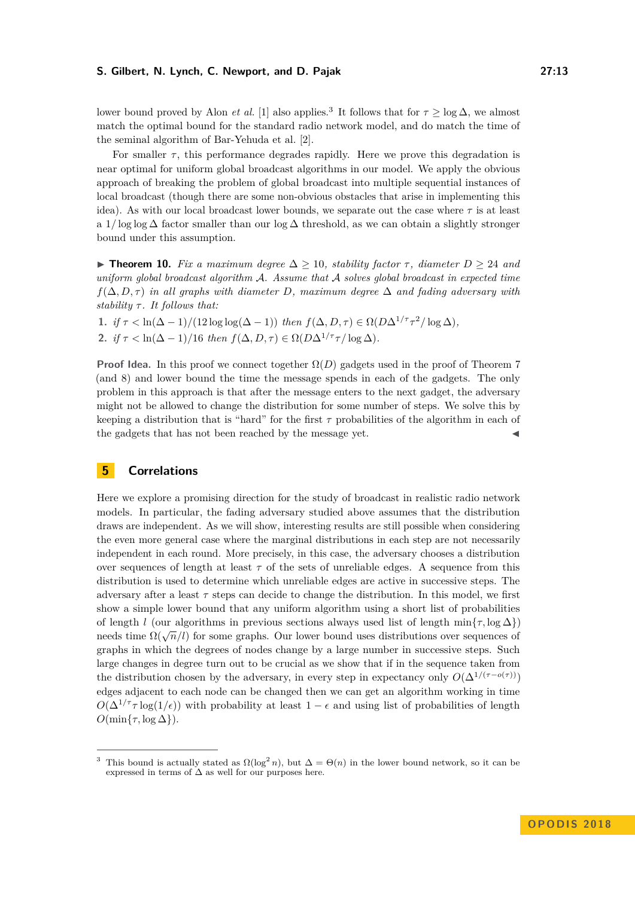lower bound proved by Alon *et al.* [\[1\]](#page-15-11) also applies.<sup>[3](#page-12-1)</sup> It follows that for  $\tau \ge \log \Delta$ , we almost match the optimal bound for the standard radio network model, and do match the time of the seminal algorithm of Bar-Yehuda et al. [\[2\]](#page-15-10).

For smaller  $\tau$ , this performance degrades rapidly. Here we prove this degradation is near optimal for uniform global broadcast algorithms in our model. We apply the obvious approach of breaking the problem of global broadcast into multiple sequential instances of local broadcast (though there are some non-obvious obstacles that arise in implementing this idea). As with our local broadcast lower bounds, we separate out the case where  $\tau$  is at least a 1*/* log log ∆ factor smaller than our log ∆ threshold, as we can obtain a slightly stronger bound under this assumption.

<span id="page-12-0"></span> $\triangleright$  **Theorem 10.** *Fix a maximum degree*  $\Delta \ge 10$ *, stability factor τ, diameter D* ≥ 24 *and uniform global broadcast algorithm* A*. Assume that* A *solves global broadcast in expected time*  $f(\Delta, D, \tau)$  *in all graphs with diameter D, maximum degree*  $\Delta$  *and fading adversary with stability τ . It follows that:*

**1.** *if*  $\tau < \ln(\Delta - 1)/(12 \log \log(\Delta - 1))$  *then*  $f(\Delta, D, \tau) \in \Omega(D\Delta^{1/\tau} \tau^2/\log \Delta)$ *,* **2.** *if*  $\tau < \ln(\Delta - 1)/16$  *then*  $f(\Delta, D, \tau) \in \Omega(D\Delta^{1/\tau}\tau/\log \Delta)$ .

**Proof Idea.** In this proof we connect together  $\Omega(D)$  gadgets used in the proof of Theorem [7](#page-10-0) (and [8\)](#page-10-1) and lower bound the time the message spends in each of the gadgets. The only problem in this approach is that after the message enters to the next gadget, the adversary might not be allowed to change the distribution for some number of steps. We solve this by keeping a distribution that is "hard" for the first *τ* probabilities of the algorithm in each of the gadgets that has not been reached by the message yet.

# **5 Correlations**

Here we explore a promising direction for the study of broadcast in realistic radio network models. In particular, the fading adversary studied above assumes that the distribution draws are independent. As we will show, interesting results are still possible when considering the even more general case where the marginal distributions in each step are not necessarily independent in each round. More precisely, in this case, the adversary chooses a distribution over sequences of length at least  $\tau$  of the sets of unreliable edges. A sequence from this distribution is used to determine which unreliable edges are active in successive steps. The adversary after a least  $\tau$  steps can decide to change the distribution. In this model, we first show a simple lower bound that any uniform algorithm using a short list of probabilities of length *l* (our algorithms in previous sections always used list of length  $\min\{\tau, \log \Delta\}$ ) needs time  $\Omega(\sqrt{n}/l)$  for some graphs. Our lower bound uses distributions over sequences of graphs in which the degrees of nodes change by a large number in successive steps. Such large changes in degree turn out to be crucial as we show that if in the sequence taken from the distribution chosen by the adversary, in every step in expectancy only  $O(\Delta^{1/(\tau - o(\tau))})$ edges adjacent to each node can be changed then we can get an algorithm working in time  $O(\Delta^{1/\tau} \tau \log(1/\epsilon))$  with probability at least  $1 - \epsilon$  and using list of probabilities of length  $O(\min\{\tau, \log \Delta\})$ .

<span id="page-12-1"></span><sup>&</sup>lt;sup>3</sup> This bound is actually stated as  $\Omega(\log^2 n)$ , but  $\Delta = \Theta(n)$  in the lower bound network, so it can be expressed in terms of  $\Delta$  as well for our purposes here.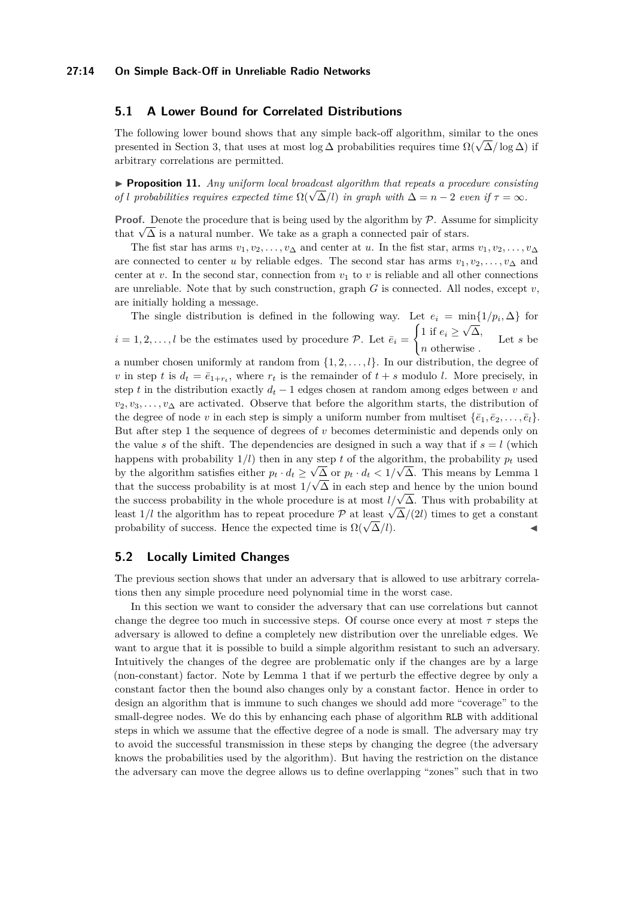# **5.1 A Lower Bound for Correlated Distributions**

The following lower bound shows that any simple back-off algorithm, similar to the ones The ionowing lower bound shows that any simple back-on algorithm, similar to the ones<br>presented in Section [3,](#page-6-0) that uses at most log  $\Delta$  probabilities requires time  $\Omega(\sqrt{\Delta}/\log \Delta)$  if arbitrary correlations are permitted.

 $\triangleright$  **Proposition 11.** *Any uniform local broadcast algorithm that repeats a procedure consisting*  $\blacktriangleright$  *Proposition 11. Any uniform local products digorithm that repeats a procedure consistent of l probabilities requires expected time*  $\Omega(\sqrt{\Delta}/l)$  *in graph with*  $\Delta = n - 2$  *<i>even if*  $\tau = \infty$ *.* 

**Proof.** Denote the procedure that is being used by the algorithm by  $\mathcal{P}$ . Assume for simplicity **Proof.** Denote the procedure that is being used by the algorithm by P. Assume that  $\sqrt{\Delta}$  is a natural number. We take as a graph a connected pair of stars.

The fist star has arms  $v_1, v_2, \ldots, v_\Delta$  and center at *u*. In the fist star, arms  $v_1, v_2, \ldots, v_\Delta$ are connected to center *u* by reliable edges. The second star has arms  $v_1, v_2, \ldots, v_{\Delta}$  and center at *v*. In the second star, connection from  $v_1$  to *v* is reliable and all other connections are unreliable. Note that by such construction, graph  $G$  is connected. All nodes, except  $v$ , are initially holding a message.

The single distribution is defined in the following way. Let  $e_i = \min\{1/p_i, \Delta\}$  for  $i = 1, 2, \ldots, l$  be the estimates used by procedure  $P$ . Let  $\bar{e}_i =$  $\int 1$  if  $e_i \geq$ √ ∆*, n* otherwise *.* Let *s* be

a number chosen uniformly at random from {1*,* 2*, . . . , l*}. In our distribution, the degree of *v* in step *t* is  $d_t = \bar{e}_{1+r_t}$ , where  $r_t$  is the remainder of  $t + s$  modulo *l*. More precisely, in step *t* in the distribution exactly  $d_t - 1$  edges chosen at random among edges between *v* and *v*<sub>2</sub>*, v*<sub>3</sub>*, . . . , v*<sub>∆</sub> are activated. Observe that before the algorithm starts, the distribution of the degree of node *v* in each step is simply a uniform number from multiset  $\{\bar{e}_1, \bar{e}_2, \ldots, \bar{e}_l\}$ . But after step 1 the sequence of degrees of *v* becomes deterministic and depends only on the value s of the shift. The dependencies are designed in such a way that if  $s = l$  (which happens with probability  $1/l$ ) then in any step *t* of the algorithm, the probability  $p_t$  used by the algorithm satisfies either  $p_t \cdot d_t \ge \sqrt{\Delta}$  or  $p_t \cdot d_t < 1/\sqrt{\Delta}$  $p_t \cdot d_t < 1/\sqrt{\Delta}$  $p_t \cdot d_t < 1/\sqrt{\Delta}$ . This means by Lemma 1 that the success probability is at most  $1/\sqrt{\Delta}$  in each step and hence by the union bound the success probability is at most  $1/\sqrt{\Delta}$  in each step and hence by the union bound<br>the success probability in the whole procedure is at most  $l/\sqrt{\Delta}$ . Thus with probability at least  $1/l$  the algorithm has to repeat procedure P at least  $\sqrt{\Delta}/(2l)$  times to get a constant probability of success. Hence the expected time is  $\Omega(\sqrt{\Delta}/l)$ .

# **5.2 Locally Limited Changes**

The previous section shows that under an adversary that is allowed to use arbitrary correlations then any simple procedure need polynomial time in the worst case.

In this section we want to consider the adversary that can use correlations but cannot change the degree too much in successive steps. Of course once every at most *τ* steps the adversary is allowed to define a completely new distribution over the unreliable edges. We want to argue that it is possible to build a simple algorithm resistant to such an adversary. Intuitively the changes of the degree are problematic only if the changes are by a large (non-constant) factor. Note by Lemma [1](#page-6-1) that if we perturb the effective degree by only a constant factor then the bound also changes only by a constant factor. Hence in order to design an algorithm that is immune to such changes we should add more "coverage" to the small-degree nodes. We do this by enhancing each phase of algorithm RLB with additional steps in which we assume that the effective degree of a node is small. The adversary may try to avoid the successful transmission in these steps by changing the degree (the adversary knows the probabilities used by the algorithm). But having the restriction on the distance the adversary can move the degree allows us to define overlapping "zones" such that in two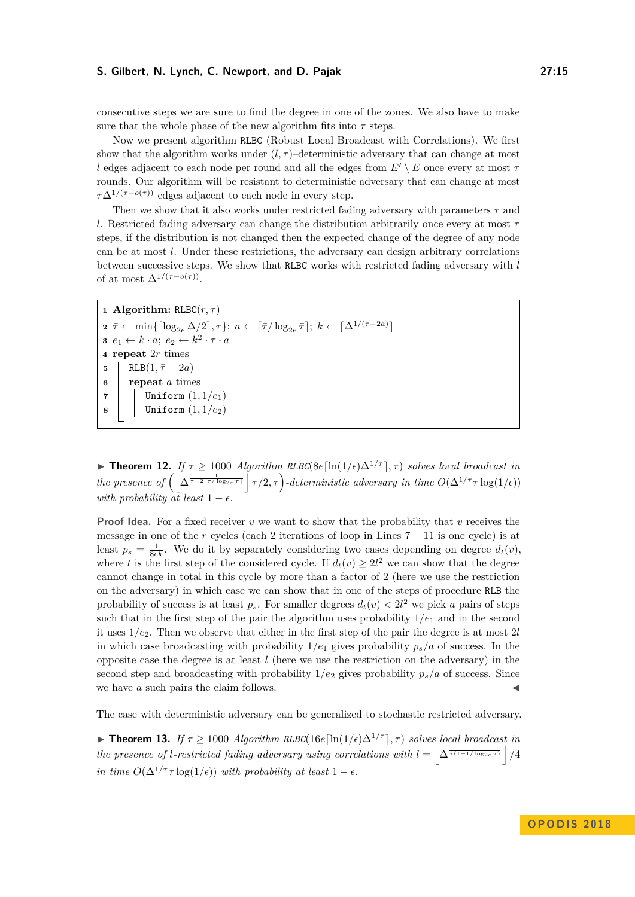consecutive steps we are sure to find the degree in one of the zones. We also have to make sure that the whole phase of the new algorithm fits into  $\tau$  steps.

Now we present algorithm RLBC (Robust Local Broadcast with Correlations). We first show that the algorithm works under  $(l, \tau)$ –deterministic adversary that can change at most *l* edges adjacent to each node per round and all the edges from  $E' \setminus E$  once every at most  $\tau$ rounds. Our algorithm will be resistant to deterministic adversary that can change at most  $\tau\Delta^{1/(\tau-o(\tau))}$  edges adjacent to each node in every step.

Then we show that it also works under restricted fading adversary with parameters  $\tau$  and *l*. Restricted fading adversary can change the distribution arbitrarily once every at most *τ* steps, if the distribution is not changed then the expected change of the degree of any node can be at most *l*. Under these restrictions, the adversary can design arbitrary correlations between successive steps. We show that RLBC works with restricted fading adversary with *l* of at most  $\Delta^{1/(\tau - o(\tau))}$ .

```
1 Algorithm: RLBC(r, \tau)2 \bar{\tau} \leftarrow \min\{[\log_{2e} \Delta/2], \tau\}; a \leftarrow [\bar{\tau}/\log_{2e} \bar{\tau}]; k \leftarrow [\Delta^{1/(\tau-2a)}]3 e_1 \leftarrow k \cdot a; e_2 \leftarrow k^2 \cdot \tau \cdot a4 repeat 2r times
5 RLB(1, \bar{\tau} - 2a)6 repeat a times
7 Uniform (1, 1/e1)
8 Uniform (1, 1/e2)
```
**► Theorem 12.** *If*  $\tau \geq 1000$  *Algorithm RLBC*(8*e*[ln(1/ $\epsilon$ ) $\Delta^{1/\tau}$ ],  $\tau$ ) *solves local broadcast in the presence of*  $\left( \left| \Delta^{\frac{1}{\tau - 2\lceil \tau/\log_2 e \rceil}} \right| \tau/2, \tau \right)$ -deterministic adversary in time  $O(\Delta^{1/\tau} \tau \log(1/\epsilon))$ *with probability*  $\overline{a}t$  *least*  $1 - \epsilon$ *.* 

**Proof Idea.** For a fixed receiver *v* we want to show that the probability that *v* receives the message in one of the *r* cycles (each 2 iterations of loop in Lines  $7 - 11$  is one cycle) is at least  $p_s = \frac{1}{8ek}$ . We do it by separately considering two cases depending on degree  $d_t(v)$ , where *t* is the first step of the considered cycle. If  $d_t(v) \geq 2l^2$  we can show that the degree cannot change in total in this cycle by more than a factor of 2 (here we use the restriction on the adversary) in which case we can show that in one of the steps of procedure RLB the probability of success is at least  $p_s$ . For smaller degrees  $d_t(v) < 2l^2$  we pick *a* pairs of steps such that in the first step of the pair the algorithm uses probability  $1/e_1$  and in the second it uses 1*/e*2. Then we observe that either in the first step of the pair the degree is at most 2*l* in which case broadcasting with probability  $1/e_1$  gives probability  $p_s/a$  of success. In the opposite case the degree is at least *l* (here we use the restriction on the adversary) in the second step and broadcasting with probability  $1/e_2$  gives probability  $p_s/a$  of success. Since we have *a* such pairs the claim follows.

The case with deterministic adversary can be generalized to stochastic restricted adversary.

**► Theorem 13.** *If*  $\tau \geq 1000$  *Algorithm RLBC*(16*e*[ln(1/ $\epsilon$ ) $\Delta^{1/\tau}$ ],  $\tau$ ) *solves local broadcast in the presence of l-restricted fading adversary using correlations with*  $l = \left[ \Delta^{\frac{1}{\tau(1-1/\log_{2e} \tau)}} \right] / 4$ *in time*  $O(\Delta^{1/\tau} \tau \log(1/\epsilon))$  *with probability at least*  $1 - \epsilon$ .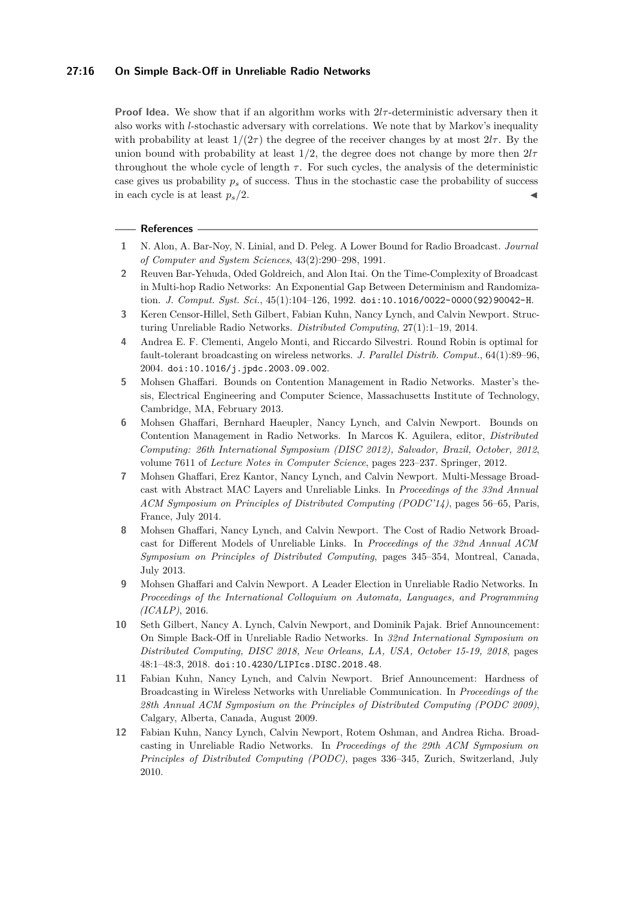#### **27:16 On Simple Back-Off in Unreliable Radio Networks**

**Proof Idea.** We show that if an algorithm works with  $2l\tau$ -deterministic adversary then it also works with *l*-stochastic adversary with correlations. We note that by Markov's inequality with probability at least  $1/(2\tau)$  the degree of the receiver changes by at most  $2l\tau$ . By the union bound with probability at least  $1/2$ , the degree does not change by more then  $2l\tau$ throughout the whole cycle of length  $\tau$ . For such cycles, the analysis of the deterministic case gives us probability  $p<sub>s</sub>$  of success. Thus in the stochastic case the probability of success in each cycle is at least  $p_s/2$ .

#### **References**

- <span id="page-15-11"></span>**1** N. Alon, A. Bar-Noy, N. Linial, and D. Peleg. A Lower Bound for Radio Broadcast. *Journal of Computer and System Sciences*, 43(2):290–298, 1991.
- <span id="page-15-10"></span>**2** Reuven Bar-Yehuda, Oded Goldreich, and Alon Itai. On the Time-Complexity of Broadcast in Multi-hop Radio Networks: An Exponential Gap Between Determinism and Randomization. *J. Comput. Syst. Sci.*, 45(1):104–126, 1992. [doi:10.1016/0022-0000\(92\)90042-H](http://dx.doi.org/10.1016/0022-0000(92)90042-H).
- <span id="page-15-4"></span>**3** Keren Censor-Hillel, Seth Gilbert, Fabian Kuhn, Nancy Lynch, and Calvin Newport. Structuring Unreliable Radio Networks. *Distributed Computing*, 27(1):1–19, 2014.
- <span id="page-15-1"></span>**4** Andrea E. F. Clementi, Angelo Monti, and Riccardo Silvestri. Round Robin is optimal for fault-tolerant broadcasting on wireless networks. *J. Parallel Distrib. Comput.*, 64(1):89–96, 2004. [doi:10.1016/j.jpdc.2003.09.002](http://dx.doi.org/10.1016/j.jpdc.2003.09.002).
- <span id="page-15-6"></span>**5** Mohsen Ghaffari. Bounds on Contention Management in Radio Networks. Master's thesis, Electrical Engineering and Computer Science, Massachusetts Institute of Technology, Cambridge, MA, February 2013.
- <span id="page-15-5"></span>**6** Mohsen Ghaffari, Bernhard Haeupler, Nancy Lynch, and Calvin Newport. Bounds on Contention Management in Radio Networks. In Marcos K. Aguilera, editor, *Distributed Computing: 26th International Symposium (DISC 2012), Salvador, Brazil, October, 2012*, volume 7611 of *Lecture Notes in Computer Science*, pages 223–237. Springer, 2012.
- <span id="page-15-8"></span>**7** Mohsen Ghaffari, Erez Kantor, Nancy Lynch, and Calvin Newport. Multi-Message Broadcast with Abstract MAC Layers and Unreliable Links. In *Proceedings of the 33nd Annual ACM Symposium on Principles of Distributed Computing (PODC'14)*, pages 56–65, Paris, France, July 2014.
- <span id="page-15-7"></span>**8** Mohsen Ghaffari, Nancy Lynch, and Calvin Newport. The Cost of Radio Network Broadcast for Different Models of Unreliable Links. In *Proceedings of the 32nd Annual ACM Symposium on Principles of Distributed Computing*, pages 345–354, Montreal, Canada, July 2013.
- <span id="page-15-9"></span>**9** Mohsen Ghaffari and Calvin Newport. A Leader Election in Unreliable Radio Networks. In *Proceedings of the International Colloquium on Automata, Languages, and Programming (ICALP)*, 2016.
- <span id="page-15-0"></span>**10** Seth Gilbert, Nancy A. Lynch, Calvin Newport, and Dominik Pajak. Brief Announcement: On Simple Back-Off in Unreliable Radio Networks. In *32nd International Symposium on Distributed Computing, DISC 2018, New Orleans, LA, USA, October 15-19, 2018*, pages 48:1–48:3, 2018. [doi:10.4230/LIPIcs.DISC.2018.48](http://dx.doi.org/10.4230/LIPIcs.DISC.2018.48).
- <span id="page-15-2"></span>**11** Fabian Kuhn, Nancy Lynch, and Calvin Newport. Brief Announcement: Hardness of Broadcasting in Wireless Networks with Unreliable Communication. In *Proceedings of the 28th Annual ACM Symposium on the Principles of Distributed Computing (PODC 2009)*, Calgary, Alberta, Canada, August 2009.
- <span id="page-15-3"></span>**12** Fabian Kuhn, Nancy Lynch, Calvin Newport, Rotem Oshman, and Andrea Richa. Broadcasting in Unreliable Radio Networks. In *Proceedings of the 29th ACM Symposium on Principles of Distributed Computing (PODC)*, pages 336–345, Zurich, Switzerland, July 2010.